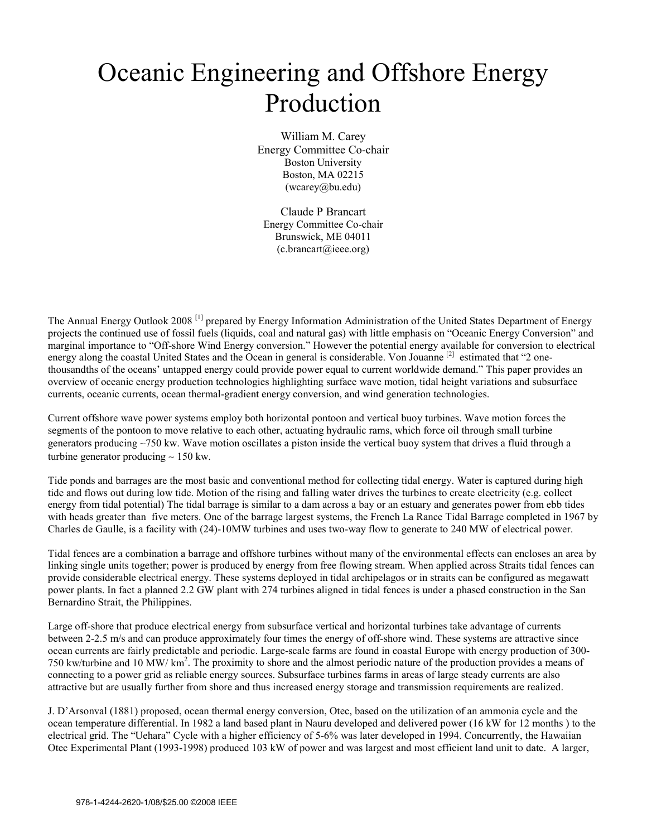## Oceanic Engineering and Offshore Energy Production

William M. Carey Energy Committee Co-chair Boston University Boston, MA 02215 (wcarey@bu.edu)

Claude P Brancart Energy Committee Co-chair Brunswick, ME 04011  $(c)$ .brancart $(a)$ ieee.org)

The Annual Energy Outlook 2008 [1] prepared by Energy Information Administration of the United States Department of Energy projects the continued use of fossil fuels (liquids, coal and natural gas) with little emphasis on "Oceanic Energy Conversion" and marginal importance to "Off-shore Wind Energy conversion." However the potential energy available for conversion to electrical energy along the coastal United States and the Ocean in general is considerable. Von Jouanne [2] estimated that "2 onethousandths of the oceans' untapped energy could provide power equal to current worldwide demand." This paper provides an overview of oceanic energy production technologies highlighting surface wave motion, tidal height variations and subsurface currents, oceanic currents, ocean thermal-gradient energy conversion, and wind generation technologies.

Current offshore wave power systems employ both horizontal pontoon and vertical buoy turbines. Wave motion forces the segments of the pontoon to move relative to each other, actuating hydraulic rams, which force oil through small turbine generators producing ∼750 kw. Wave motion oscillates a piston inside the vertical buoy system that drives a fluid through a turbine generator producing ∼ 150 kw.

Tide ponds and barrages are the most basic and conventional method for collecting tidal energy. Water is captured during high tide and flows out during low tide. Motion of the rising and falling water drives the turbines to create electricity (e.g. collect energy from tidal potential) The tidal barrage is similar to a dam across a bay or an estuary and generates power from ebb tides with heads greater than five meters. One of the barrage largest systems, the French La Rance Tidal Barrage completed in 1967 by Charles de Gaulle, is a facility with (24)-10MW turbines and uses two-way flow to generate to 240 MW of electrical power.

Tidal fences are a combination a barrage and offshore turbines without many of the environmental effects can encloses an area by linking single units together; power is produced by energy from free flowing stream. When applied across Straits tidal fences can provide considerable electrical energy. These systems deployed in tidal archipelagos or in straits can be configured as megawatt power plants. In fact a planned 2.2 GW plant with 274 turbines aligned in tidal fences is under a phased construction in the San Bernardino Strait, the Philippines.

Large off-shore that produce electrical energy from subsurface vertical and horizontal turbines take advantage of currents between 2-2.5 m/s and can produce approximately four times the energy of off-shore wind. These systems are attractive since ocean currents are fairly predictable and periodic. Large-scale farms are found in coastal Europe with energy production of 300- 750 kw/turbine and 10 MW/ km2 . The proximity to shore and the almost periodic nature of the production provides a means of connecting to a power grid as reliable energy sources. Subsurface turbines farms in areas of large steady currents are also attractive but are usually further from shore and thus increased energy storage and transmission requirements are realized.

J. D'Arsonval (1881) proposed, ocean thermal energy conversion, Otec, based on the utilization of an ammonia cycle and the ocean temperature differential. In 1982 a land based plant in Nauru developed and delivered power (16 kW for 12 months ) to the electrical grid. The "Uehara" Cycle with a higher efficiency of 5-6% was later developed in 1994. Concurrently, the Hawaiian Otec Experimental Plant (1993-1998) produced 103 kW of power and was largest and most efficient land unit to date. A larger,